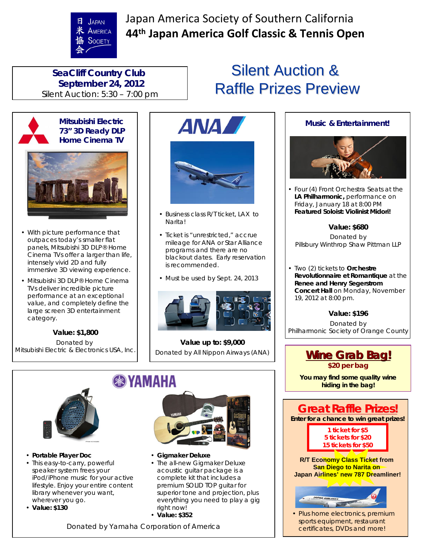JAPAN & AMERICA SOCIETY

Japan America Society of Southern California **44th Japan America Golf Classic & Tennis Open**

## **SeaCliff Country Club September 24, 2012** Silent Auction: 5:30 – 7:00 pm



## **Mitsubishi Electric 73" 3D Ready DLP Home Cinema TV**



- With picture performance that outpaces today's smaller flat panels, Mitsubishi 3D DLP® Home Cinema TVs offer a larger than life, intensely vivid 2D and fully immersive 3D viewing experience.
- Mitsubishi 3D DLP® Home Cinema TVs deliver incredible picture performance at an exceptional value, and completely define the large screen 3D entertainment category.

**Value: \$1,800** Donated by Mitsubishi Electric & Electronics USA, Inc.



- Business class R/T ticket, LAX to Narita!
- Ticket is "unrestricted," accrue mileage for ANA or Star Alliance programs and there are no blackout dates. Early reservation is recommended.
- Must be used by Sept. 24, 2013



**Value up to: \$9,000** Donated by All Nippon Airways (ANA)



- **Portable Player Doc** • This easy-to-carry, powerful speaker system frees your iPod/iPhone music for your active lifestyle. Enjoy your entire content library whenever you want,
- wherever you go.
- **Value: \$130**



- **Gigmaker Deluxe**
- The all-new Gigmaker Deluxe acoustic guitar package is a complete kit that includes a premium SOLID TOP guitar for superior tone and projection, plus everything you need to play a gig right now!
- **Value: \$352**

Donated by Yamaha Corporation of America

## **Silent Auction & Raffle Prizes Preview**





• Four (4) Front Orchestra Seats at the **LA Philharmonic,** performance on Friday, January 18 at 8:00 PM **Featured Soloist: Violinist Midori!**

## **Value: \$680**

Donated by Pillsbury Winthrop Shaw Pittman LLP

• Two (2) tickets to **Orchestre Revolutionnaire et Romantique** at the **Renee and Henry Segerstrom Concert Hall** on Monday, November 19, 2012 at 8:00 pm.

## **Value: \$196**

Donated by Philharmonic Society of Orange County

## **Wine Grab Bag! Wine Grab Bag! \$20 per bag**

**You may find some quality wine hiding in the bag!** 



certificates, DVDs and more!